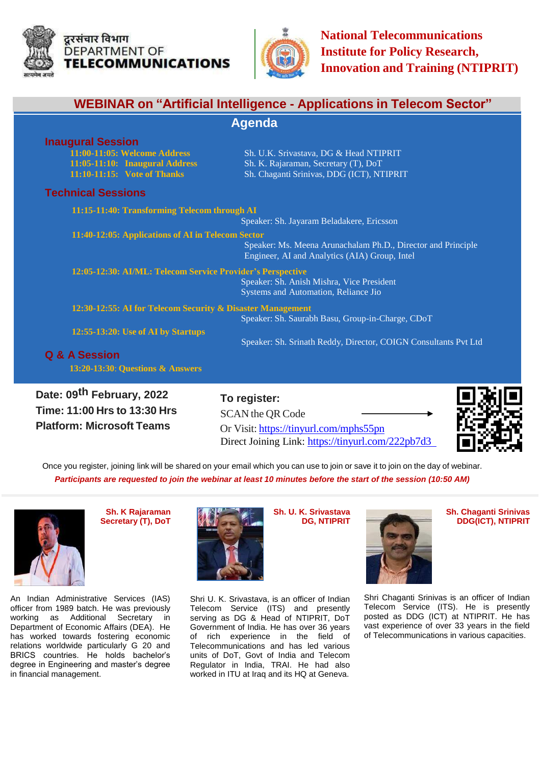



| <b>WEBINAR on "Artificial Intelligence - Applications in Telecom Sector"</b><br><b>Agenda</b>             |                                                                                                               |
|-----------------------------------------------------------------------------------------------------------|---------------------------------------------------------------------------------------------------------------|
|                                                                                                           |                                                                                                               |
| <b>Technical Sessions</b>                                                                                 |                                                                                                               |
| 11:15-11:40: Transforming Telecom through AI                                                              | Speaker: Sh. Jayaram Beladakere, Ericsson                                                                     |
| 11:40-12:05: Applications of AI in Telecom Sector                                                         | Speaker: Ms. Meena Arunachalam Ph.D., Director and Principle<br>Engineer, AI and Analytics (AIA) Group, Intel |
| 12:05-12:30: AI/ML: Telecom Service Provider's Perspective                                                | Speaker: Sh. Anish Mishra, Vice President<br>Systems and Automation, Reliance Jio                             |
| 12:30-12:55: AI for Telecom Security & Disaster Management                                                | Speaker: Sh. Saurabh Basu, Group-in-Charge, CDoT                                                              |
| 12:55-13:20: Use of AI by Startups<br><b>Q &amp; A Session</b><br>13:20-13:30: Questions & Answers        | Speaker: Sh. Srinath Reddy, Director, COIGN Consultants Pvt Ltd                                               |
| Date: 09 <sup>th</sup> February, 2022<br>Time: 11:00 Hrs to 13:30 Hrs<br><b>Platform: Microsoft Teams</b> | To register:<br>SCAN the QR Code<br>Or Visit: https://tinyurl.com/mphs55pn                                    |

Once you register, joining link will be shared on your email which you can use to join or save it to join on the day of webinar. *Participants are requested to join the webinar at least 10 minutes before the start of the session (10:50 AM)*

> Shri U. K. Srivastava, is an officer of Indian Telecom Service (ITS) and presently serving as DG & Head of NTIPRIT, DoT Government of India. He has over 36 years of rich experience in the field of Telecommunications and has led various units of DoT, Govt of India and Telecom Regulator in India, TRAI. He had also worked in ITU at Iraq and its HQ at Geneva.



**Sh. K Rajaraman Secretary (T), DoT**

An Indian Administrative Services (IAS) officer from 1989 batch. He was previously working as Additional Secretary in Department of Economic Affairs (DEA). He has worked towards fostering economic relations worldwide particularly G 20 and BRICS countries. He holds bachelor's degree in Engineering and master's degree in financial management.



**Sh. U. K. Srivastava DG, NTIPRIT**

Direct Joining Link: <https://tinyurl.com/222pb7d3>



**Sh. Chaganti Srinivas DDG(ICT), NTIPRIT**

Shri Chaganti Srinivas is an officer of Indian Telecom Service (ITS). He is presently posted as DDG (ICT) at NTIPRIT. He has vast experience of over 33 years in the field of Telecommunications in various capacities.